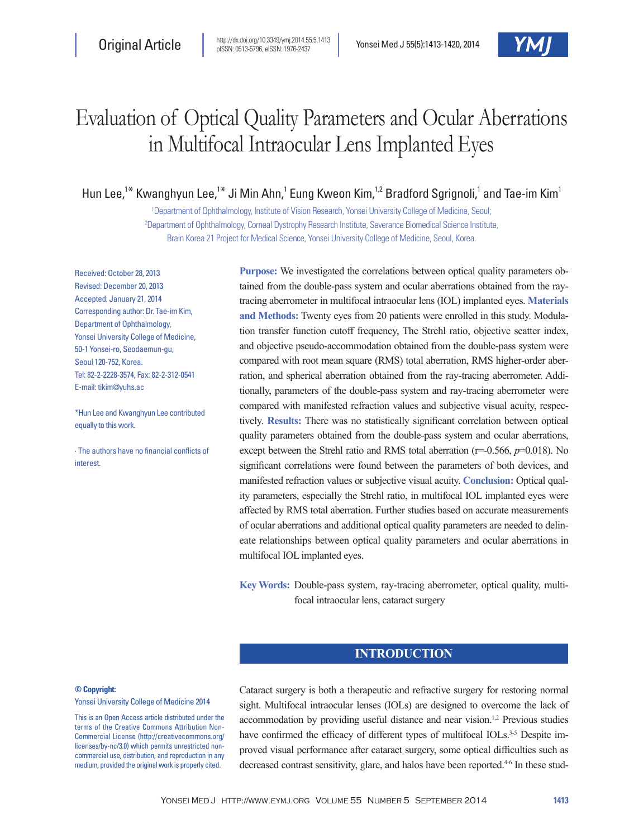

# Evaluation of Optical Quality Parameters and Ocular Aberrations in Multifocal Intraocular Lens Implanted Eyes

Hun Lee,<sup>1\*</sup> Kwanghyun Lee,<sup>1\*</sup> Ji Min Ahn,<sup>1</sup> Eung Kweon Kim,<sup>1,2</sup> Bradford Sgrignoli,<sup>1</sup> and Tae-im Kim<sup>1</sup>

1 Department of Ophthalmology, Institute of Vision Research, Yonsei University College of Medicine, Seoul; 2 Department of Ophthalmology, Corneal Dystrophy Research Institute, Severance Biomedical Science Institute, Brain Korea 21 Project for Medical Science, Yonsei University College of Medicine, Seoul, Korea.

Received: October 28, 2013 Revised: December 20, 2013 Accepted: January 21, 2014 Corresponding author: Dr. Tae-im Kim, Department of Ophthalmology, Yonsei University College of Medicine, 50-1 Yonsei-ro, Seodaemun-gu, Seoul 120-752, Korea. Tel: 82-2-2228-3574, Fax: 82-2-312-0541 E-mail: tikim@yuhs.ac

\*Hun Lee and Kwanghyun Lee contributed equally to this work.

∙ The authors have no financial conflicts of interest.

**Purpose:** We investigated the correlations between optical quality parameters obtained from the double-pass system and ocular aberrations obtained from the raytracing aberrometer in multifocal intraocular lens (IOL) implanted eyes. **Materials and Methods:** Twenty eyes from 20 patients were enrolled in this study. Modulation transfer function cutoff frequency, The Strehl ratio, objective scatter index, and objective pseudo-accommodation obtained from the double-pass system were compared with root mean square (RMS) total aberration, RMS higher-order aberration, and spherical aberration obtained from the ray-tracing aberrometer. Additionally, parameters of the double-pass system and ray-tracing aberrometer were compared with manifested refraction values and subjective visual acuity, respectively. **Results:** There was no statistically significant correlation between optical quality parameters obtained from the double-pass system and ocular aberrations, except between the Strehl ratio and RMS total aberration (r=-0.566, *p*=0.018). No significant correlations were found between the parameters of both devices, and manifested refraction values or subjective visual acuity. **Conclusion:** Optical quality parameters, especially the Strehl ratio, in multifocal IOL implanted eyes were affected by RMS total aberration. Further studies based on accurate measurements of ocular aberrations and additional optical quality parameters are needed to delineate relationships between optical quality parameters and ocular aberrations in multifocal IOL implanted eyes.

**Key Words:** Double-pass system, ray-tracing aberrometer, optical quality, multifocal intraocular lens, cataract surgery

# **INTRODUCTION**

#### **© Copyright:**

Yonsei University College of Medicine 2014

This is an Open Access article distributed under the terms of the Creative Commons Attribution Non-Commercial License (http://creativecommons.org/ licenses/by-nc/3.0) which permits unrestricted noncommercial use, distribution, and reproduction in any medium, provided the original work is properly cited.

Cataract surgery is both a therapeutic and refractive surgery for restoring normal sight. Multifocal intraocular lenses (IOLs) are designed to overcome the lack of accommodation by providing useful distance and near vision.<sup>1,2</sup> Previous studies have confirmed the efficacy of different types of multifocal IOLs.<sup>3-5</sup> Despite improved visual performance after cataract surgery, some optical difficulties such as decreased contrast sensitivity, glare, and halos have been reported.<sup>4-6</sup> In these stud-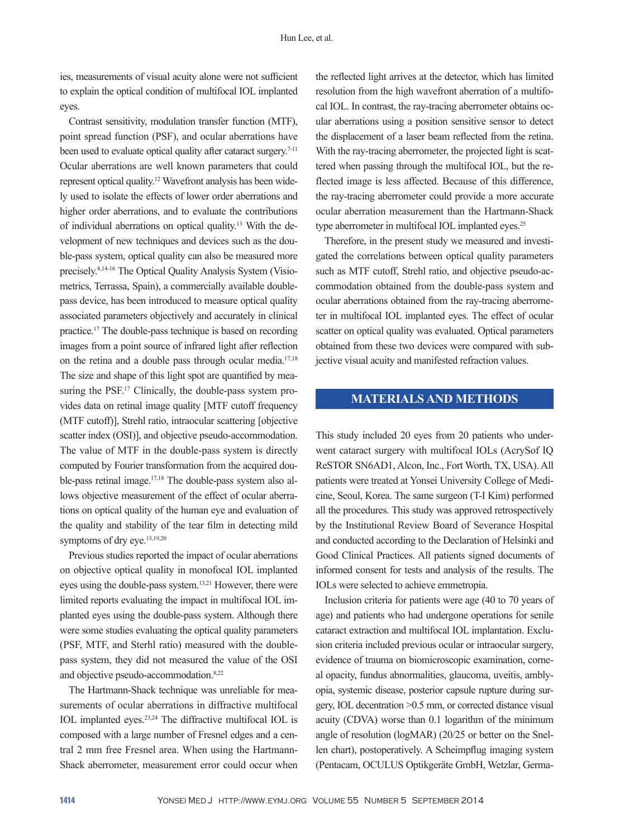ies, measurements of visual acuity alone were not sufficient to explain the optical condition of multifocal IOL implanted eyes.

Contrast sensitivity, modulation transfer function (MTF), point spread function (PSF), and ocular aberrations have been used to evaluate optical quality after cataract surgery.<sup>7-11</sup> Ocular aberrations are well known parameters that could represent optical quality.12 Wavefront analysis has been widely used to isolate the effects of lower order aberrations and higher order aberrations, and to evaluate the contributions of individual aberrations on optical quality.13 With the development of new techniques and devices such as the double-pass system, optical quality can also be measured more precisely.8,14-16 The Optical Quality Analysis System (Visiometrics, Terrassa, Spain), a commercially available doublepass device, has been introduced to measure optical quality associated parameters objectively and accurately in clinical practice.17 The double-pass technique is based on recording images from a point source of infrared light after reflection on the retina and a double pass through ocular media.17,18 The size and shape of this light spot are quantified by measuring the PSF.<sup>17</sup> Clinically, the double-pass system provides data on retinal image quality [MTF cutoff frequency (MTF cutoff)], Strehl ratio, intraocular scattering [objective scatter index (OSI)], and objective pseudo-accommodation. The value of MTF in the double-pass system is directly computed by Fourier transformation from the acquired double-pass retinal image.17,18 The double-pass system also allows objective measurement of the effect of ocular aberrations on optical quality of the human eye and evaluation of the quality and stability of the tear film in detecting mild symptoms of dry eye.<sup>13,19,20</sup>

Previous studies reported the impact of ocular aberrations on objective optical quality in monofocal IOL implanted eyes using the double-pass system.13,21 However, there were limited reports evaluating the impact in multifocal IOL implanted eyes using the double-pass system. Although there were some studies evaluating the optical quality parameters (PSF, MTF, and Sterhl ratio) measured with the doublepass system, they did not measured the value of the OSI and objective pseudo-accommodation.8,22

The Hartmann-Shack technique was unreliable for measurements of ocular aberrations in diffractive multifocal IOL implanted eyes.23,24 The diffractive multifocal IOL is composed with a large number of Fresnel edges and a central 2 mm free Fresnel area. When using the Hartmann-Shack aberrometer, measurement error could occur when

the reflected light arrives at the detector, which has limited resolution from the high wavefront aberration of a multifocal IOL. In contrast, the ray-tracing aberrometer obtains ocular aberrations using a position sensitive sensor to detect the displacement of a laser beam reflected from the retina. With the ray-tracing aberrometer, the projected light is scattered when passing through the multifocal IOL, but the reflected image is less affected. Because of this difference, the ray-tracing aberrometer could provide a more accurate ocular aberration measurement than the Hartmann-Shack type aberrometer in multifocal IOL implanted eyes.<sup>25</sup>

Therefore, in the present study we measured and investigated the correlations between optical quality parameters such as MTF cutoff, Strehl ratio, and objective pseudo-accommodation obtained from the double-pass system and ocular aberrations obtained from the ray-tracing aberrometer in multifocal IOL implanted eyes. The effect of ocular scatter on optical quality was evaluated. Optical parameters obtained from these two devices were compared with subjective visual acuity and manifested refraction values.

# **MATERIALS AND METHODS**

This study included 20 eyes from 20 patients who underwent cataract surgery with multifocal IOLs (AcrySof IQ ReSTOR SN6AD1, Alcon, Inc., Fort Worth, TX, USA). All patients were treated at Yonsei University College of Medicine, Seoul, Korea. The same surgeon (T-I Kim) performed all the procedures. This study was approved retrospectively by the Institutional Review Board of Severance Hospital and conducted according to the Declaration of Helsinki and Good Clinical Practices. All patients signed documents of informed consent for tests and analysis of the results. The IOLs were selected to achieve emmetropia.

Inclusion criteria for patients were age (40 to 70 years of age) and patients who had undergone operations for senile cataract extraction and multifocal IOL implantation. Exclusion criteria included previous ocular or intraocular surgery, evidence of trauma on biomicroscopic examination, corneal opacity, fundus abnormalities, glaucoma, uveitis, amblyopia, systemic disease, posterior capsule rupture during surgery, IOL decentration >0.5 mm, or corrected distance visual acuity (CDVA) worse than 0.1 logarithm of the minimum angle of resolution (logMAR) (20/25 or better on the Snellen chart), postoperatively. A Scheimpflug imaging system (Pentacam, OCULUS Optikgeräte GmbH, Wetzlar, Germa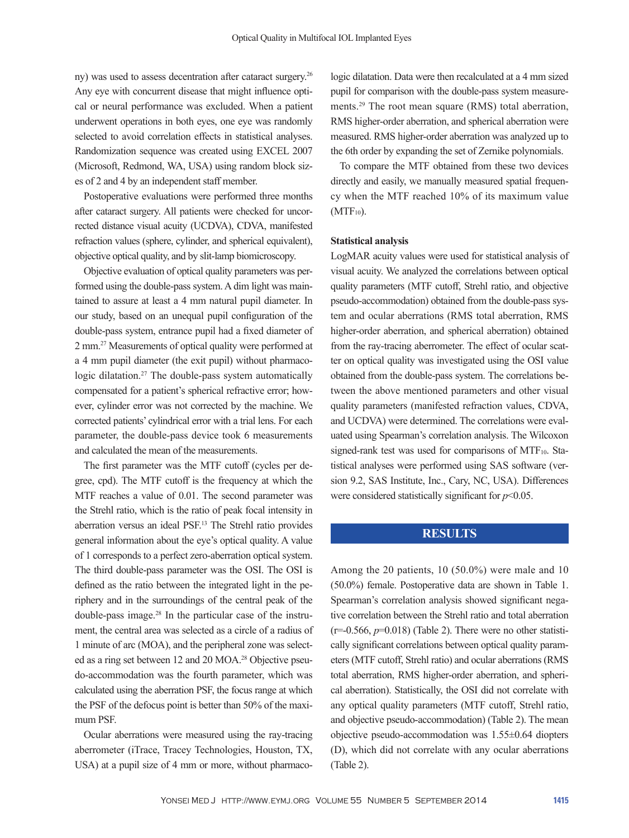ny) was used to assess decentration after cataract surgery.26 Any eye with concurrent disease that might influence optical or neural performance was excluded. When a patient underwent operations in both eyes, one eye was randomly selected to avoid correlation effects in statistical analyses. Randomization sequence was created using EXCEL 2007 (Microsoft, Redmond, WA, USA) using random block sizes of 2 and 4 by an independent staff member.

Postoperative evaluations were performed three months after cataract surgery. All patients were checked for uncorrected distance visual acuity (UCDVA), CDVA, manifested refraction values (sphere, cylinder, and spherical equivalent), objective optical quality, and by slit-lamp biomicroscopy.

Objective evaluation of optical quality parameters was performed using the double-pass system. A dim light was maintained to assure at least a 4 mm natural pupil diameter. In our study, based on an unequal pupil configuration of the double-pass system, entrance pupil had a fixed diameter of 2 mm.27 Measurements of optical quality were performed at a 4 mm pupil diameter (the exit pupil) without pharmacologic dilatation.<sup>27</sup> The double-pass system automatically compensated for a patient's spherical refractive error; however, cylinder error was not corrected by the machine. We corrected patients' cylindrical error with a trial lens. For each parameter, the double-pass device took 6 measurements and calculated the mean of the measurements.

The first parameter was the MTF cutoff (cycles per degree, cpd). The MTF cutoff is the frequency at which the MTF reaches a value of 0.01. The second parameter was the Strehl ratio, which is the ratio of peak focal intensity in aberration versus an ideal PSF.13 The Strehl ratio provides general information about the eye's optical quality. A value of 1 corresponds to a perfect zero-aberration optical system. The third double-pass parameter was the OSI. The OSI is defined as the ratio between the integrated light in the periphery and in the surroundings of the central peak of the double-pass image.28 In the particular case of the instrument, the central area was selected as a circle of a radius of 1 minute of arc (MOA), and the peripheral zone was selected as a ring set between 12 and 20 MOA.28 Objective pseudo-accommodation was the fourth parameter, which was calculated using the aberration PSF, the focus range at which the PSF of the defocus point is better than 50% of the maximum PSF.

Ocular aberrations were measured using the ray-tracing aberrometer (iTrace, Tracey Technologies, Houston, TX, USA) at a pupil size of 4 mm or more, without pharmaco-

logic dilatation. Data were then recalculated at a 4 mm sized pupil for comparison with the double-pass system measurements.<sup>29</sup> The root mean square (RMS) total aberration, RMS higher-order aberration, and spherical aberration were measured. RMS higher-order aberration was analyzed up to the 6th order by expanding the set of Zernike polynomials.

To compare the MTF obtained from these two devices directly and easily, we manually measured spatial frequency when the MTF reached 10% of its maximum value  $(MTF_{10})$ .

#### **Statistical analysis**

LogMAR acuity values were used for statistical analysis of visual acuity. We analyzed the correlations between optical quality parameters (MTF cutoff, Strehl ratio, and objective pseudo-accommodation) obtained from the double-pass system and ocular aberrations (RMS total aberration, RMS higher-order aberration, and spherical aberration) obtained from the ray-tracing aberrometer. The effect of ocular scatter on optical quality was investigated using the OSI value obtained from the double-pass system. The correlations between the above mentioned parameters and other visual quality parameters (manifested refraction values, CDVA, and UCDVA) were determined. The correlations were evaluated using Spearman's correlation analysis. The Wilcoxon signed-rank test was used for comparisons of MTF10. Statistical analyses were performed using SAS software (version 9.2, SAS Institute, Inc., Cary, NC, USA). Differences were considered statistically significant for *p*<0.05.

## **RESULTS**

Among the 20 patients, 10 (50.0%) were male and 10 (50.0%) female. Postoperative data are shown in Table 1. Spearman's correlation analysis showed significant negative correlation between the Strehl ratio and total aberration  $(r=0.566, p=0.018)$  (Table 2). There were no other statistically significant correlations between optical quality parameters (MTF cutoff, Strehl ratio) and ocular aberrations (RMS total aberration, RMS higher-order aberration, and spherical aberration). Statistically, the OSI did not correlate with any optical quality parameters (MTF cutoff, Strehl ratio, and objective pseudo-accommodation) (Table 2). The mean objective pseudo-accommodation was 1.55±0.64 diopters (D), which did not correlate with any ocular aberrations (Table 2).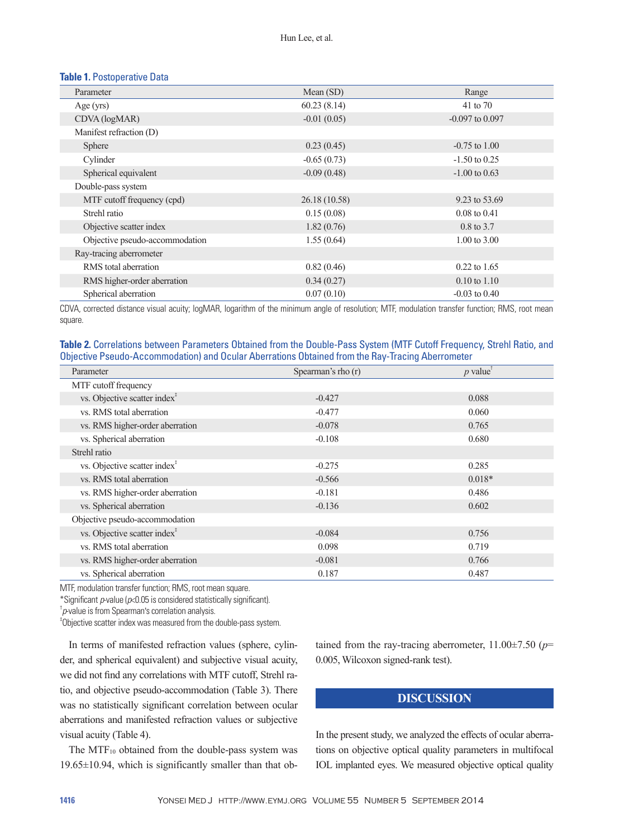### **Table 1.** Postoperative Data

| Parameter                      | Mean (SD)     | Range                   |
|--------------------------------|---------------|-------------------------|
| Age $(yrs)$                    | 60.23(8.14)   | 41 to 70                |
| CDVA (logMAR)                  | $-0.01(0.05)$ | $-0.097$ to 0.097       |
| Manifest refraction (D)        |               |                         |
| Sphere                         | 0.23(0.45)    | $-0.75$ to $1.00$       |
| Cylinder                       | $-0.65(0.73)$ | $-1.50$ to 0.25         |
| Spherical equivalent           | $-0.09(0.48)$ | $-1.00$ to 0.63         |
| Double-pass system             |               |                         |
| MTF cutoff frequency (cpd)     | 26.18 (10.58) | 9.23 to 53.69           |
| Strehl ratio                   | 0.15(0.08)    | $0.08 \text{ to } 0.41$ |
| Objective scatter index        | 1.82(0.76)    | $0.8 \text{ to } 3.7$   |
| Objective pseudo-accommodation | 1.55(0.64)    | $1.00 \text{ to } 3.00$ |
| Ray-tracing aberrometer        |               |                         |
| RMS total aberration           | 0.82(0.46)    | $0.22$ to 1.65          |
| RMS higher-order aberration    | 0.34(0.27)    | $0.10$ to $1.10$        |
| Spherical aberration           | 0.07(0.10)    | $-0.03$ to $0.40$       |

CDVA, corrected distance visual acuity; logMAR, logarithm of the minimum angle of resolution; MTF, modulation transfer function; RMS, root mean square.

| Table 2. Correlations between Parameters Obtained from the Double-Pass System (MTF Cutoff Frequency, Strehl Ratio, and |  |
|------------------------------------------------------------------------------------------------------------------------|--|
| Objective Pseudo-Accommodation) and Ocular Aberrations Obtained from the Ray-Tracing Aberrometer                       |  |

| Parameter                                | Spearman's rho (r) | $p$ value |
|------------------------------------------|--------------------|-----------|
| MTF cutoff frequency                     |                    |           |
| vs. Objective scatter index <sup>†</sup> | $-0.427$           | 0.088     |
| vs. RMS total aberration                 | $-0.477$           | 0.060     |
| vs. RMS higher-order aberration          | $-0.078$           | 0.765     |
| vs. Spherical aberration                 | $-0.108$           | 0.680     |
| Strehl ratio                             |                    |           |
| vs. Objective scatter index <sup>†</sup> | $-0.275$           | 0.285     |
| vs. RMS total aberration                 | $-0.566$           | $0.018*$  |
| vs. RMS higher-order aberration          | $-0.181$           | 0.486     |
| vs. Spherical aberration                 | $-0.136$           | 0.602     |
| Objective pseudo-accommodation           |                    |           |
| vs. Objective scatter index <sup>†</sup> | $-0.084$           | 0.756     |
| vs. RMS total aberration                 | 0.098              | 0.719     |
| vs. RMS higher-order aberration          | $-0.081$           | 0.766     |
| vs. Spherical aberration                 | 0.187              | 0.487     |

MTF, modulation transfer function; RMS, root mean square.

\*Significant *p*-value (*p*<0.05 is considered statistically significant).

† *p*-value is from Spearman's correlation analysis.

‡ Objective scatter index was measured from the double-pass system.

In terms of manifested refraction values (sphere, cylinder, and spherical equivalent) and subjective visual acuity, we did not find any correlations with MTF cutoff, Strehl ratio, and objective pseudo-accommodation (Table 3). There was no statistically significant correlation between ocular aberrations and manifested refraction values or subjective visual acuity (Table 4).

The MTF<sub>10</sub> obtained from the double-pass system was 19.65±10.94, which is significantly smaller than that obtained from the ray-tracing aberrometer, 11.00±7.50 (*p*= 0.005, Wilcoxon signed-rank test).

# **DISCUSSION**

In the present study, we analyzed the effects of ocular aberrations on objective optical quality parameters in multifocal IOL implanted eyes. We measured objective optical quality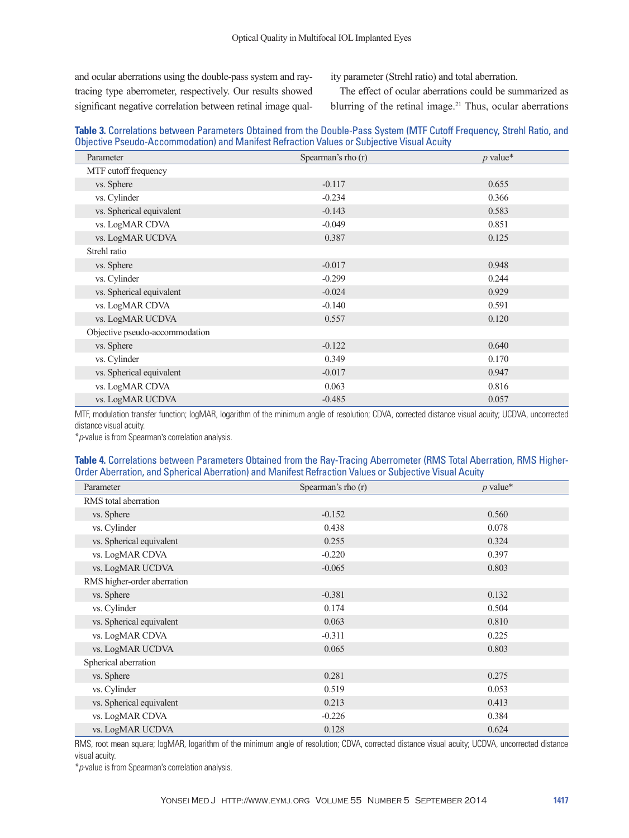and ocular aberrations using the double-pass system and raytracing type aberrometer, respectively. Our results showed significant negative correlation between retinal image quality parameter (Strehl ratio) and total aberration.

The effect of ocular aberrations could be summarized as blurring of the retinal image.<sup>21</sup> Thus, ocular aberrations

## **Table 3.** Correlations between Parameters Obtained from the Double-Pass System (MTF Cutoff Frequency, Strehl Ratio, and Objective Pseudo-Accommodation) and Manifest Refraction Values or Subjective Visual Acuity

| Parameter                      | Spearman's rho (r) | $p$ value* |
|--------------------------------|--------------------|------------|
| MTF cutoff frequency           |                    |            |
| vs. Sphere                     | $-0.117$           | 0.655      |
| vs. Cylinder                   | $-0.234$           | 0.366      |
| vs. Spherical equivalent       | $-0.143$           | 0.583      |
| vs. LogMAR CDVA                | $-0.049$           | 0.851      |
| vs. LogMAR UCDVA               | 0.387              | 0.125      |
| Strehl ratio                   |                    |            |
| vs. Sphere                     | $-0.017$           | 0.948      |
| vs. Cylinder                   | $-0.299$           | 0.244      |
| vs. Spherical equivalent       | $-0.024$           | 0.929      |
| vs. LogMAR CDVA                | $-0.140$           | 0.591      |
| vs. LogMAR UCDVA               | 0.557              | 0.120      |
| Objective pseudo-accommodation |                    |            |
| vs. Sphere                     | $-0.122$           | 0.640      |
| vs. Cylinder                   | 0.349              | 0.170      |
| vs. Spherical equivalent       | $-0.017$           | 0.947      |
| vs. LogMAR CDVA                | 0.063              | 0.816      |
| vs. LogMAR UCDVA               | $-0.485$           | 0.057      |

MTF, modulation transfer function; logMAR, logarithm of the minimum angle of resolution; CDVA, corrected distance visual acuity; UCDVA, uncorrected distance visual acuity.

\**p*-value is from Spearman's correlation analysis.

#### **Table 4.** Correlations between Parameters Obtained from the Ray-Tracing Aberrometer (RMS Total Aberration, RMS Higher-Order Aberration, and Spherical Aberration) and Manifest Refraction Values or Subjective Visual Acuity

| Parameter                   | Spearman's rho (r) | $p$ value* |
|-----------------------------|--------------------|------------|
| RMS total aberration        |                    |            |
| vs. Sphere                  | $-0.152$           | 0.560      |
| vs. Cylinder                | 0.438              | 0.078      |
| vs. Spherical equivalent    | 0.255              | 0.324      |
| vs. LogMAR CDVA             | $-0.220$           | 0.397      |
| vs. LogMAR UCDVA            | $-0.065$           | 0.803      |
| RMS higher-order aberration |                    |            |
| vs. Sphere                  | $-0.381$           | 0.132      |
| vs. Cylinder                | 0.174              | 0.504      |
| vs. Spherical equivalent    | 0.063              | 0.810      |
| vs. LogMAR CDVA             | $-0.311$           | 0.225      |
| vs. LogMAR UCDVA            | 0.065              | 0.803      |
| Spherical aberration        |                    |            |
| vs. Sphere                  | 0.281              | 0.275      |
| vs. Cylinder                | 0.519              | 0.053      |
| vs. Spherical equivalent    | 0.213              | 0.413      |
| vs. LogMAR CDVA             | $-0.226$           | 0.384      |
| vs. LogMAR UCDVA            | 0.128              | 0.624      |

RMS, root mean square; logMAR, logarithm of the minimum angle of resolution; CDVA, corrected distance visual acuity; UCDVA, uncorrected distance visual acuity.

\**p*-value is from Spearman's correlation analysis.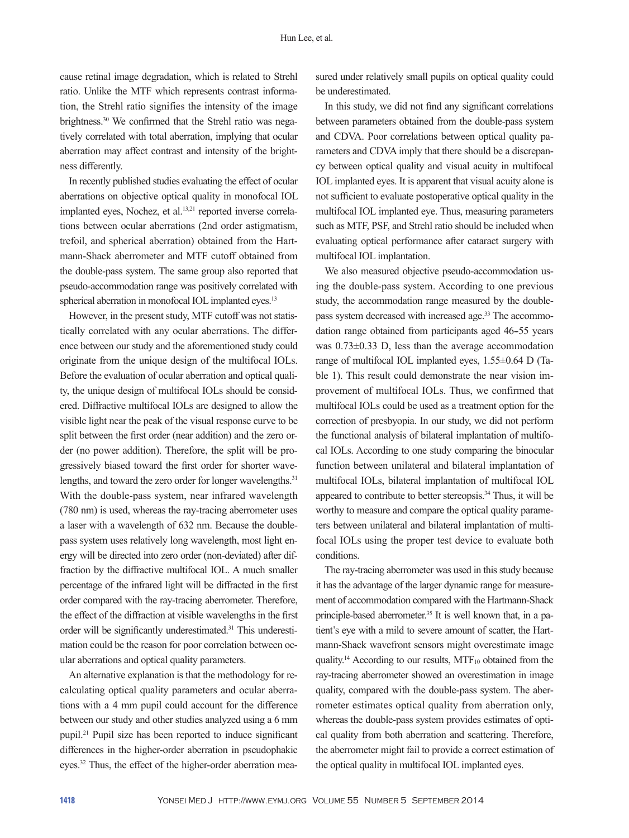cause retinal image degradation, which is related to Strehl ratio. Unlike the MTF which represents contrast information, the Strehl ratio signifies the intensity of the image brightness.30 We confirmed that the Strehl ratio was negatively correlated with total aberration, implying that ocular aberration may affect contrast and intensity of the brightness differently.

In recently published studies evaluating the effect of ocular aberrations on objective optical quality in monofocal IOL implanted eyes, Nochez, et al.<sup>13,21</sup> reported inverse correlations between ocular aberrations (2nd order astigmatism, trefoil, and spherical aberration) obtained from the Hartmann-Shack aberrometer and MTF cutoff obtained from the double-pass system. The same group also reported that pseudo-accommodation range was positively correlated with spherical aberration in monofocal IOL implanted eyes.<sup>13</sup>

However, in the present study, MTF cutoff was not statistically correlated with any ocular aberrations. The difference between our study and the aforementioned study could originate from the unique design of the multifocal IOLs. Before the evaluation of ocular aberration and optical quality, the unique design of multifocal IOLs should be considered. Diffractive multifocal IOLs are designed to allow the visible light near the peak of the visual response curve to be split between the first order (near addition) and the zero order (no power addition). Therefore, the split will be progressively biased toward the first order for shorter wavelengths, and toward the zero order for longer wavelengths.<sup>31</sup> With the double-pass system, near infrared wavelength (780 nm) is used, whereas the ray-tracing aberrometer uses a laser with a wavelength of 632 nm. Because the doublepass system uses relatively long wavelength, most light energy will be directed into zero order (non-deviated) after diffraction by the diffractive multifocal IOL. A much smaller percentage of the infrared light will be diffracted in the first order compared with the ray-tracing aberrometer. Therefore, the effect of the diffraction at visible wavelengths in the first order will be significantly underestimated.<sup>31</sup> This underestimation could be the reason for poor correlation between ocular aberrations and optical quality parameters.

An alternative explanation is that the methodology for recalculating optical quality parameters and ocular aberrations with a 4 mm pupil could account for the difference between our study and other studies analyzed using a 6 mm pupil.21 Pupil size has been reported to induce significant differences in the higher-order aberration in pseudophakic eyes.<sup>32</sup> Thus, the effect of the higher-order aberration mea-

sured under relatively small pupils on optical quality could be underestimated.

In this study, we did not find any significant correlations between parameters obtained from the double-pass system and CDVA. Poor correlations between optical quality parameters and CDVA imply that there should be a discrepancy between optical quality and visual acuity in multifocal IOL implanted eyes. It is apparent that visual acuity alone is not sufficient to evaluate postoperative optical quality in the multifocal IOL implanted eye. Thus, measuring parameters such as MTF, PSF, and Strehl ratio should be included when evaluating optical performance after cataract surgery with multifocal IOL implantation.

We also measured objective pseudo-accommodation using the double-pass system. According to one previous study, the accommodation range measured by the doublepass system decreased with increased age.<sup>33</sup> The accommodation range obtained from participants aged 46-55 years was 0.73±0.33 D, less than the average accommodation range of multifocal IOL implanted eyes, 1.55±0.64 D (Table 1). This result could demonstrate the near vision improvement of multifocal IOLs. Thus, we confirmed that multifocal IOLs could be used as a treatment option for the correction of presbyopia. In our study, we did not perform the functional analysis of bilateral implantation of multifocal IOLs. According to one study comparing the binocular function between unilateral and bilateral implantation of multifocal IOLs, bilateral implantation of multifocal IOL appeared to contribute to better stereopsis.34 Thus, it will be worthy to measure and compare the optical quality parameters between unilateral and bilateral implantation of multifocal IOLs using the proper test device to evaluate both conditions.

The ray-tracing aberrometer was used in this study because it has the advantage of the larger dynamic range for measurement of accommodation compared with the Hartmann-Shack principle-based aberrometer.<sup>35</sup> It is well known that, in a patient's eye with a mild to severe amount of scatter, the Hartmann-Shack wavefront sensors might overestimate image quality.<sup>14</sup> According to our results, MTF<sub>10</sub> obtained from the ray-tracing aberrometer showed an overestimation in image quality, compared with the double-pass system. The aberrometer estimates optical quality from aberration only, whereas the double-pass system provides estimates of optical quality from both aberration and scattering. Therefore, the aberrometer might fail to provide a correct estimation of the optical quality in multifocal IOL implanted eyes.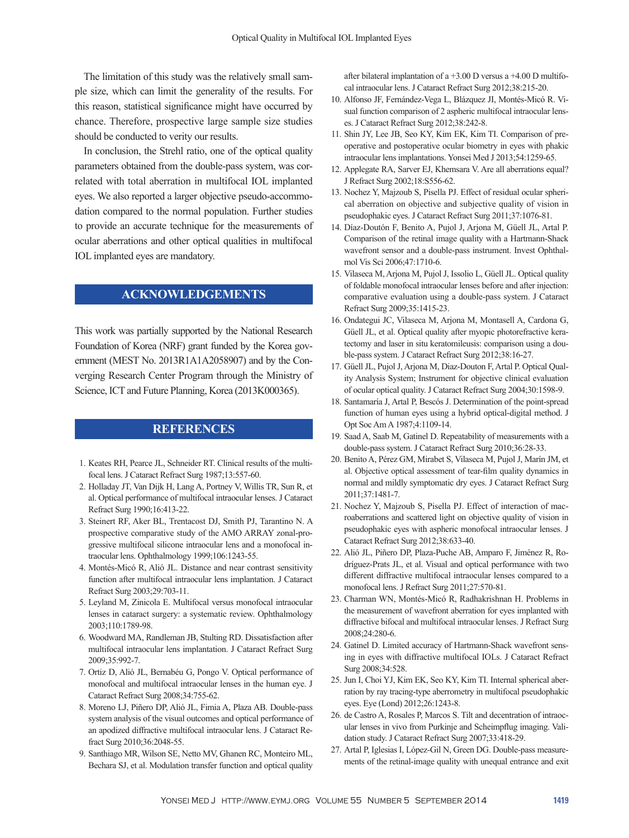The limitation of this study was the relatively small sample size, which can limit the generality of the results. For this reason, statistical significance might have occurred by chance. Therefore, prospective large sample size studies should be conducted to verity our results.

In conclusion, the Strehl ratio, one of the optical quality parameters obtained from the double-pass system, was correlated with total aberration in multifocal IOL implanted eyes. We also reported a larger objective pseudo-accommodation compared to the normal population. Further studies to provide an accurate technique for the measurements of ocular aberrations and other optical qualities in multifocal IOL implanted eyes are mandatory.

# **ACKNOWLEDGEMENTS**

This work was partially supported by the National Research Foundation of Korea (NRF) grant funded by the Korea government (MEST No. 2013R1A1A2058907) and by the Converging Research Center Program through the Ministry of Science, ICT and Future Planning, Korea (2013K000365).

# **REFERENCES**

- 1. Keates RH, Pearce JL, Schneider RT. Clinical results of the multifocal lens. J Cataract Refract Surg 1987;13:557-60.
- 2. Holladay JT, Van Dijk H, Lang A, Portney V, Willis TR, Sun R, et al. Optical performance of multifocal intraocular lenses. J Cataract Refract Surg 1990;16:413-22.
- 3. Steinert RF, Aker BL, Trentacost DJ, Smith PJ, Tarantino N. A prospective comparative study of the AMO ARRAY zonal-progressive multifocal silicone intraocular lens and a monofocal intraocular lens. Ophthalmology 1999;106:1243-55.
- 4. Montés-Micó R, Alió JL. Distance and near contrast sensitivity function after multifocal intraocular lens implantation. J Cataract Refract Surg 2003;29:703-11.
- 5. Leyland M, Zinicola E. Multifocal versus monofocal intraocular lenses in cataract surgery: a systematic review. Ophthalmology 2003;110:1789-98.
- 6. Woodward MA, Randleman JB, Stulting RD. Dissatisfaction after multifocal intraocular lens implantation. J Cataract Refract Surg 2009;35:992-7.
- 7. Ortiz D, Alió JL, Bernabéu G, Pongo V. Optical performance of monofocal and multifocal intraocular lenses in the human eye. J Cataract Refract Surg 2008;34:755-62.
- 8. Moreno LJ, Piñero DP, Alió JL, Fimia A, Plaza AB. Double-pass system analysis of the visual outcomes and optical performance of an apodized diffractive multifocal intraocular lens. J Cataract Refract Surg 2010;36:2048-55.
- 9. Santhiago MR, Wilson SE, Netto MV, Ghanen RC, Monteiro ML, Bechara SJ, et al. Modulation transfer function and optical quality

after bilateral implantation of a +3.00 D versus a +4.00 D multifocal intraocular lens. J Cataract Refract Surg 2012;38:215-20.

- 10. Alfonso JF, Fernández-Vega L, Blázquez JI, Montés-Micó R. Visual function comparison of 2 aspheric multifocal intraocular lenses. J Cataract Refract Surg 2012;38:242-8.
- 11. Shin JY, Lee JB, Seo KY, Kim EK, Kim TI. Comparison of preoperative and postoperative ocular biometry in eyes with phakic intraocular lens implantations. Yonsei Med J 2013;54:1259-65.
- 12. Applegate RA, Sarver EJ, Khemsara V. Are all aberrations equal? J Refract Surg 2002;18:S556-62.
- 13. Nochez Y, Majzoub S, Pisella PJ. Effect of residual ocular spherical aberration on objective and subjective quality of vision in pseudophakic eyes. J Cataract Refract Surg 2011;37:1076-81.
- 14. Díaz-Doutón F, Benito A, Pujol J, Arjona M, Güell JL, Artal P. Comparison of the retinal image quality with a Hartmann-Shack wavefront sensor and a double-pass instrument. Invest Ophthalmol Vis Sci 2006;47:1710-6.
- 15. Vilaseca M, Arjona M, Pujol J, Issolio L, Güell JL. Optical quality of foldable monofocal intraocular lenses before and after injection: comparative evaluation using a double-pass system. J Cataract Refract Surg 2009;35:1415-23.
- 16. Ondategui JC, Vilaseca M, Arjona M, Montasell A, Cardona G, Güell JL, et al. Optical quality after myopic photorefractive keratectomy and laser in situ keratomileusis: comparison using a double-pass system. J Cataract Refract Surg 2012;38:16-27.
- 17. Güell JL, Pujol J, Arjona M, Diaz-Douton F, Artal P. Optical Quality Analysis System; Instrument for objective clinical evaluation of ocular optical quality. J Cataract Refract Surg 2004;30:1598-9.
- 18. Santamaría J, Artal P, Bescós J. Determination of the point-spread function of human eyes using a hybrid optical-digital method. J Opt Soc Am A 1987;4:1109-14.
- 19. Saad A, Saab M, Gatinel D. Repeatability of measurements with a double-pass system. J Cataract Refract Surg 2010;36:28-33.
- 20. Benito A, Pérez GM, Mirabet S, Vilaseca M, Pujol J, Marín JM, et al. Objective optical assessment of tear-film quality dynamics in normal and mildly symptomatic dry eyes. J Cataract Refract Surg 2011;37:1481-7.
- 21. Nochez Y, Majzoub S, Pisella PJ. Effect of interaction of macroaberrations and scattered light on objective quality of vision in pseudophakic eyes with aspheric monofocal intraocular lenses. J Cataract Refract Surg 2012;38:633-40.
- 22. Alió JL, Piñero DP, Plaza-Puche AB, Amparo F, Jiménez R, Rodríguez-Prats JL, et al. Visual and optical performance with two different diffractive multifocal intraocular lenses compared to a monofocal lens. J Refract Surg 2011;27:570-81.
- 23. Charman WN, Montés-Micó R, Radhakrishnan H. Problems in the measurement of wavefront aberration for eyes implanted with diffractive bifocal and multifocal intraocular lenses. J Refract Surg 2008;24:280-6.
- 24. Gatinel D. Limited accuracy of Hartmann-Shack wavefront sensing in eyes with diffractive multifocal IOLs. J Cataract Refract Surg 2008;34:528.
- 25. Jun I, Choi YJ, Kim EK, Seo KY, Kim TI. Internal spherical aberration by ray tracing-type aberrometry in multifocal pseudophakic eyes. Eye (Lond) 2012;26:1243-8.
- 26. de Castro A, Rosales P, Marcos S. Tilt and decentration of intraocular lenses in vivo from Purkinje and Scheimpflug imaging. Validation study. J Cataract Refract Surg 2007;33:418-29.
- 27. Artal P, Iglesias I, López-Gil N, Green DG. Double-pass measurements of the retinal-image quality with unequal entrance and exit